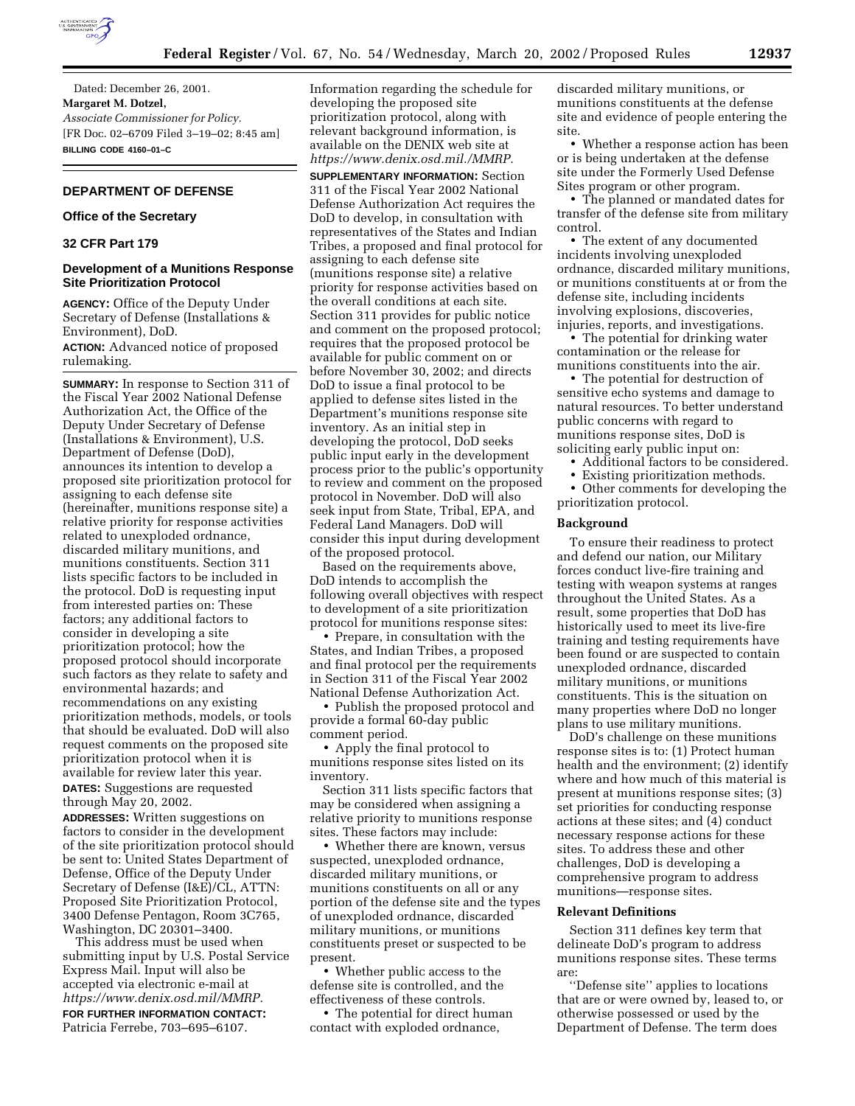

Dated: December 26, 2001. **Margaret M. Dotzel,** *Associate Commissioner for Policy.* [FR Doc. 02–6709 Filed 3–19–02; 8:45 am] **BILLING CODE 4160–01–C**

# **DEPARTMENT OF DEFENSE**

# **Office of the Secretary**

# **32 CFR Part 179**

### **Development of a Munitions Response Site Prioritization Protocol**

**AGENCY:** Office of the Deputy Under Secretary of Defense (Installations & Environment), DoD. **ACTION:** Advanced notice of proposed rulemaking.

**SUMMARY:** In response to Section 311 of the Fiscal Year 2002 National Defense Authorization Act, the Office of the Deputy Under Secretary of Defense (Installations & Environment), U.S. Department of Defense (DoD), announces its intention to develop a proposed site prioritization protocol for assigning to each defense site (hereinafter, munitions response site) a relative priority for response activities related to unexploded ordnance, discarded military munitions, and munitions constituents. Section 311 lists specific factors to be included in the protocol. DoD is requesting input from interested parties on: These factors; any additional factors to consider in developing a site prioritization protocol; how the proposed protocol should incorporate such factors as they relate to safety and environmental hazards; and recommendations on any existing prioritization methods, models, or tools that should be evaluated. DoD will also request comments on the proposed site prioritization protocol when it is available for review later this year. **DATES:** Suggestions are requested through May 20, 2002.

**ADDRESSES:** Written suggestions on factors to consider in the development of the site prioritization protocol should be sent to: United States Department of Defense, Office of the Deputy Under Secretary of Defense (I&E)/CL, ATTN: Proposed Site Prioritization Protocol, 3400 Defense Pentagon, Room 3C765, Washington, DC 20301–3400.

This address must be used when submitting input by U.S. Postal Service Express Mail. Input will also be accepted via electronic e-mail at *https://www.denix.osd.mil/MMRP.*

**FOR FURTHER INFORMATION CONTACT:** Patricia Ferrebe, 703–695–6107.

Information regarding the schedule for developing the proposed site prioritization protocol, along with relevant background information, is available on the DENIX web site at *https://www.denix.osd.mil./MMRP.*

**SUPPLEMENTARY INFORMATION:** Section 311 of the Fiscal Year 2002 National Defense Authorization Act requires the DoD to develop, in consultation with representatives of the States and Indian Tribes, a proposed and final protocol for assigning to each defense site (munitions response site) a relative priority for response activities based on the overall conditions at each site. Section 311 provides for public notice and comment on the proposed protocol; requires that the proposed protocol be available for public comment on or before November 30, 2002; and directs DoD to issue a final protocol to be applied to defense sites listed in the Department's munitions response site inventory. As an initial step in developing the protocol, DoD seeks public input early in the development process prior to the public's opportunity to review and comment on the proposed protocol in November. DoD will also seek input from State, Tribal, EPA, and Federal Land Managers. DoD will consider this input during development of the proposed protocol.

Based on the requirements above, DoD intends to accomplish the following overall objectives with respect to development of a site prioritization protocol for munitions response sites:

• Prepare, in consultation with the States, and Indian Tribes, a proposed and final protocol per the requirements in Section 311 of the Fiscal Year 2002 National Defense Authorization Act.

• Publish the proposed protocol and provide a formal 60-day public comment period.

• Apply the final protocol to munitions response sites listed on its inventory.

Section 311 lists specific factors that may be considered when assigning a relative priority to munitions response sites. These factors may include:

• Whether there are known, versus suspected, unexploded ordnance, discarded military munitions, or munitions constituents on all or any portion of the defense site and the types of unexploded ordnance, discarded military munitions, or munitions constituents preset or suspected to be present.

• Whether public access to the defense site is controlled, and the effectiveness of these controls.

• The potential for direct human contact with exploded ordnance,

discarded military munitions, or munitions constituents at the defense site and evidence of people entering the site.

• Whether a response action has been or is being undertaken at the defense site under the Formerly Used Defense Sites program or other program.

• The planned or mandated dates for transfer of the defense site from military control.

• The extent of any documented incidents involving unexploded ordnance, discarded military munitions, or munitions constituents at or from the defense site, including incidents involving explosions, discoveries, injuries, reports, and investigations.

• The potential for drinking water contamination or the release for munitions constituents into the air.

• The potential for destruction of sensitive echo systems and damage to natural resources. To better understand public concerns with regard to munitions response sites, DoD is soliciting early public input on:

• Additional factors to be considered.

Existing prioritization methods.

• Other comments for developing the prioritization protocol.

### **Background**

To ensure their readiness to protect and defend our nation, our Military forces conduct live-fire training and testing with weapon systems at ranges throughout the United States. As a result, some properties that DoD has historically used to meet its live-fire training and testing requirements have been found or are suspected to contain unexploded ordnance, discarded military munitions, or munitions constituents. This is the situation on many properties where DoD no longer plans to use military munitions.

DoD's challenge on these munitions response sites is to: (1) Protect human health and the environment; (2) identify where and how much of this material is present at munitions response sites; (3) set priorities for conducting response actions at these sites; and (4) conduct necessary response actions for these sites. To address these and other challenges, DoD is developing a comprehensive program to address munitions—response sites.

#### **Relevant Definitions**

Section 311 defines key term that delineate DoD's program to address munitions response sites. These terms are:

''Defense site'' applies to locations that are or were owned by, leased to, or otherwise possessed or used by the Department of Defense. The term does